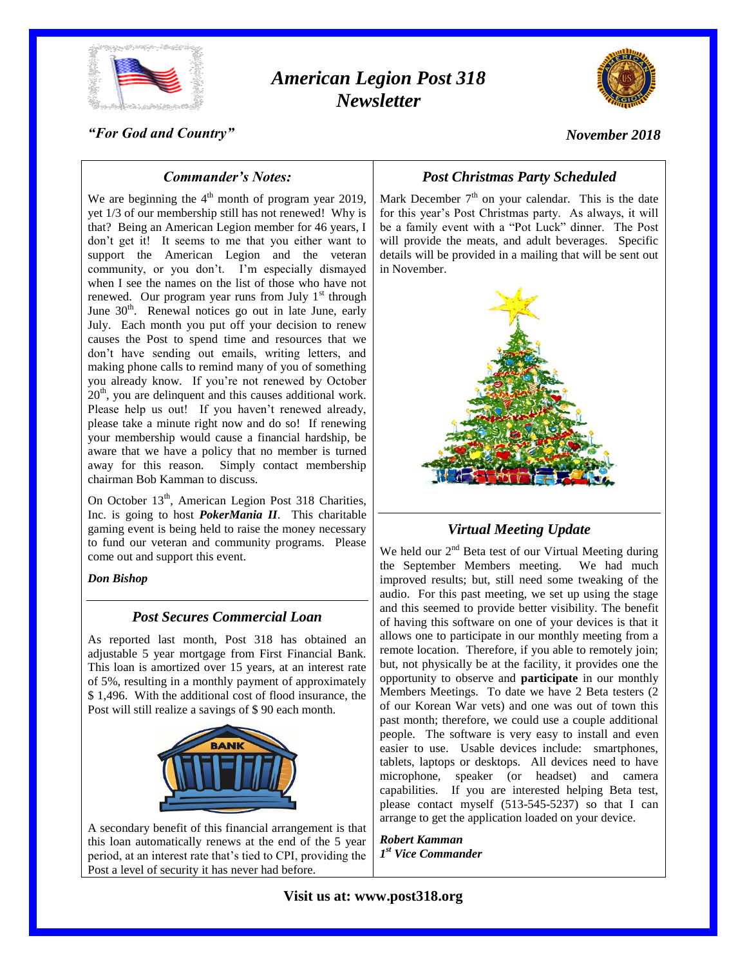

# *American Legion Post 318 Newsletter*



*"For God and Country"*

*November 2018*

## *Commander's Notes:*

We are beginning the  $4<sup>th</sup>$  month of program year 2019, yet 1/3 of our membership still has not renewed! Why is that? Being an American Legion member for 46 years, I don't get it! It seems to me that you either want to support the American Legion and the veteran community, or you don't. I'm especially dismayed when I see the names on the list of those who have not renewed. Our program year runs from July  $1<sup>st</sup>$  through June  $30<sup>th</sup>$ . Renewal notices go out in late June, early July. Each month you put off your decision to renew causes the Post to spend time and resources that we don't have sending out emails, writing letters, and making phone calls to remind many of you of something you already know. If you're not renewed by October 20<sup>th</sup>, you are delinquent and this causes additional work. Please help us out! If you haven't renewed already, please take a minute right now and do so! If renewing your membership would cause a financial hardship, be aware that we have a policy that no member is turned away for this reason. Simply contact membership chairman Bob Kamman to discuss.

On October 13<sup>th</sup>, American Legion Post 318 Charities, Inc. is going to host *PokerMania II*. This charitable gaming event is being held to raise the money necessary to fund our veteran and community programs. Please come out and support this event.

*Don Bishop*

## *Post Secures Commercial Loan*

As reported last month, Post 318 has obtained an adjustable 5 year mortgage from First Financial Bank. This loan is amortized over 15 years, at an interest rate of 5%, resulting in a monthly payment of approximately \$ 1,496. With the additional cost of flood insurance, the Post will still realize a savings of \$ 90 each month.



A secondary benefit of this financial arrangement is that this loan automatically renews at the end of the 5 year period, at an interest rate that's tied to CPI, providing the Post a level of security it has never had before.

## *Post Christmas Party Scheduled*

Mark December  $7<sup>th</sup>$  on your calendar. This is the date for this year's Post Christmas party. As always, it will be a family event with a "Pot Luck" dinner. The Post will provide the meats, and adult beverages. Specific details will be provided in a mailing that will be sent out in November.



*Virtual Meeting Update*

We held our  $2<sup>nd</sup>$  Beta test of our Virtual Meeting during the September Members meeting. We had much improved results; but, still need some tweaking of the audio. For this past meeting, we set up using the stage and this seemed to provide better visibility. The benefit of having this software on one of your devices is that it allows one to participate in our monthly meeting from a remote location. Therefore, if you able to remotely join; but, not physically be at the facility, it provides one the opportunity to observe and **participate** in our monthly Members Meetings. To date we have 2 Beta testers (2 of our Korean War vets) and one was out of town this past month; therefore, we could use a couple additional people. The software is very easy to install and even easier to use. Usable devices include: smartphones, tablets, laptops or desktops. All devices need to have microphone, speaker (or headset) and camera capabilities. If you are interested helping Beta test, please contact myself (513-545-5237) so that I can arrange to get the application loaded on your device.

*Robert Kamman 1 st Vice Commander*

**Visit us at: www.post318.org**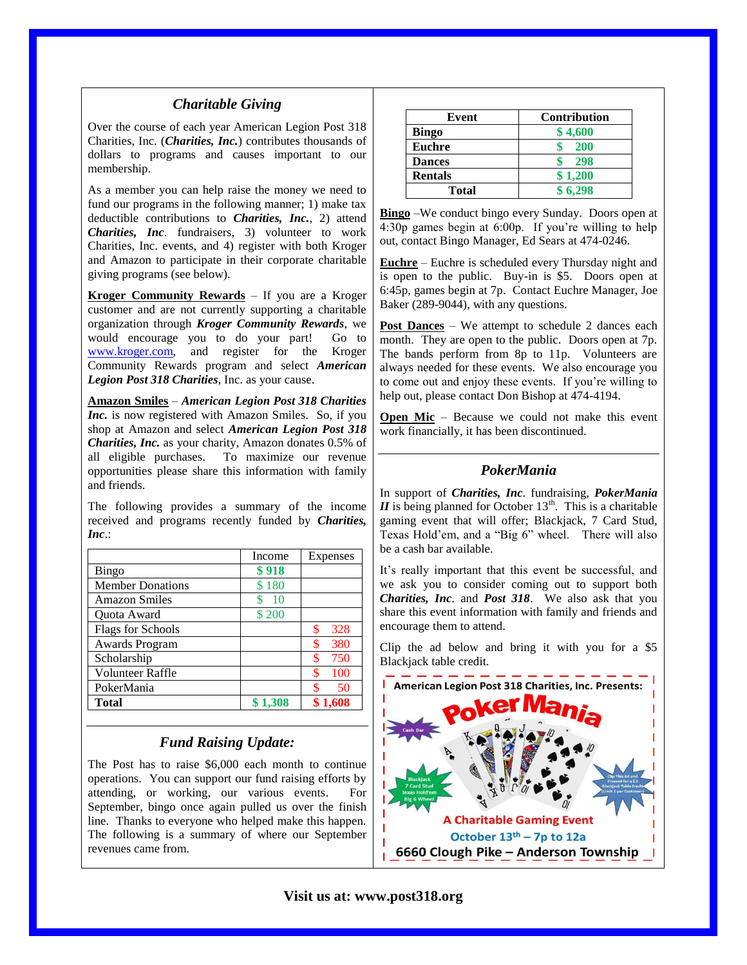### *Charitable Giving*

Over the course of each year American Legion Post 318 Charities, Inc. (*Charities, Inc.*) contributes thousands of dollars to programs and causes important to our membership.

As a member you can help raise the money we need to fund our programs in the following manner; 1) make tax deductible contributions to *Charities, Inc.*, 2) attend *Charities, Inc*. fundraisers, 3) volunteer to work Charities, Inc. events, and 4) register with both Kroger and Amazon to participate in their corporate charitable giving programs (see below).

**Kroger Community Rewards** – If you are a Kroger customer and are not currently supporting a charitable organization through *Kroger Community Rewards*, we would encourage you to do your part! Go to [www.kroger.com,](http://www.kroger.com/) and register for the Kroger Community Rewards program and select *American Legion Post 318 Charities*, Inc. as your cause.

**Amazon Smiles** – *American Legion Post 318 Charities Inc.* is now registered with Amazon Smiles. So, if you shop at Amazon and select *American Legion Post 318 Charities, Inc.* as your charity, Amazon donates 0.5% of all eligible purchases. To maximize our revenue opportunities please share this information with family and friends.

The following provides a summary of the income received and programs recently funded by *Charities, Inc*.:

|                          | Income          | Expenses  |
|--------------------------|-----------------|-----------|
| <b>Bingo</b>             | \$918           |           |
| <b>Member Donations</b>  | \$180           |           |
| <b>Amazon Smiles</b>     | $\overline{10}$ |           |
| Quota Award              | \$200           |           |
| <b>Flags for Schools</b> |                 | \$<br>328 |
| Awards Program           |                 | 380<br>\$ |
| Scholarship              |                 | \$<br>750 |
| <b>Volunteer Raffle</b>  |                 | 100       |
| PokerMania               |                 | \$<br>50  |
| <b>Total</b>             | \$1,308         | \$1.608   |

### *Fund Raising Update:*

The Post has to raise \$6,000 each month to continue operations. You can support our fund raising efforts by attending, or working, our various events. For September, bingo once again pulled us over the finish line. Thanks to everyone who helped make this happen. The following is a summary of where our September revenues came from.

| Event          | Contribution |
|----------------|--------------|
| <b>Bingo</b>   | \$4,600      |
| <b>Euchre</b>  | <b>200</b>   |
| <b>Dances</b>  | 298          |
| <b>Rentals</b> | \$1,200      |
| <b>Total</b>   | \$ 6.298     |

**Bingo** –We conduct bingo every Sunday. Doors open at 4:30p games begin at 6:00p. If you're willing to help out, contact Bingo Manager, Ed Sears at 474-0246.

**Euchre** – Euchre is scheduled every Thursday night and is open to the public. Buy-in is \$5. Doors open at 6:45p, games begin at 7p. Contact Euchre Manager, Joe Baker (289-9044), with any questions.

**Post Dances** – We attempt to schedule 2 dances each month. They are open to the public. Doors open at 7p. The bands perform from 8p to 11p. Volunteers are always needed for these events. We also encourage you to come out and enjoy these events. If you're willing to help out, please contact Don Bishop at 474-4194.

**Open Mic** – Because we could not make this event work financially, it has been discontinued.

## *PokerMania*

In support of *Charities, Inc*. fundraising, *PokerMania*   $II$  is being planned for October 13<sup>th</sup>. This is a charitable gaming event that will offer; Blackjack, 7 Card Stud, Texas Hold'em, and a "Big 6" wheel. There will also be a cash bar available.

It's really important that this event be successful, and we ask you to consider coming out to support both *Charities, Inc*. and *Post 318*. We also ask that you share this event information with family and friends and encourage them to attend.

Clip the ad below and bring it with you for a \$5 Blackjack table credit.



**Visit us at: www.post318.org**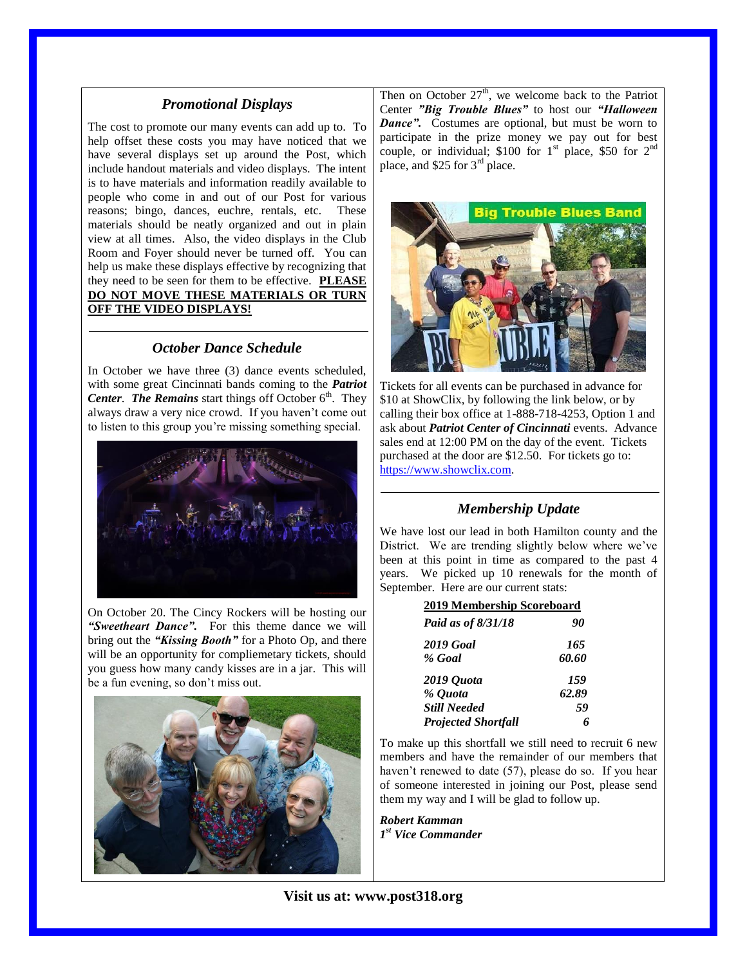### *Promotional Displays*

The cost to promote our many events can add up to. To help offset these costs you may have noticed that we have several displays set up around the Post, which include handout materials and video displays. The intent is to have materials and information readily available to people who come in and out of our Post for various reasons; bingo, dances, euchre, rentals, etc. These materials should be neatly organized and out in plain view at all times. Also, the video displays in the Club Room and Foyer should never be turned off. You can help us make these displays effective by recognizing that they need to be seen for them to be effective. **PLEASE DO NOT MOVE THESE MATERIALS OR TURN OFF THE VIDEO DISPLAYS!**

## *October Dance Schedule*

In October we have three (3) dance events scheduled, with some great Cincinnati bands coming to the *Patriot*  Center. The Remains start things off October 6<sup>th</sup>. They always draw a very nice crowd. If you haven't come out to listen to this group you're missing something special.



On October 20. The Cincy Rockers will be hosting our *"Sweetheart Dance".* For this theme dance we will bring out the *"Kissing Booth"* for a Photo Op, and there will be an opportunity for compliemetary tickets, should you guess how many candy kisses are in a jar. This will be a fun evening, so don't miss out.



Then on October  $27<sup>th</sup>$ , we welcome back to the Patriot Center *"Big Trouble Blues"* to host our *"Halloween Dance"*. Costumes are optional, but must be worn to participate in the prize money we pay out for best couple, or individual; \$100 for  $1<sup>st</sup>$  place, \$50 for  $2<sup>nd</sup>$ place, and \$25 for 3<sup>rd</sup> place.



Tickets for all events can be purchased in advance for \$10 at ShowClix, by following the link below, or by calling their box office at 1-888-718-4253, Option 1 and ask about *Patriot Center of Cincinnati* events. Advance sales end at 12:00 PM on the day of the event. Tickets purchased at the door are \$12.50. For tickets go to: [https://www.showclix.com.](https://www.showclix.com/)

## *Membership Update*

We have lost our lead in both Hamilton county and the District. We are trending slightly below where we've been at this point in time as compared to the past 4 years. We picked up 10 renewals for the month of September. Here are our current stats:

| 2019 Membership Scoreboard |       |  |
|----------------------------|-------|--|
| Paid as of 8/31/18         | 90    |  |
| 2019 Goal                  | 165   |  |
| % Goal                     | 60.60 |  |
| 2019 Quota                 | 159   |  |
| % Quota                    | 62.89 |  |
| <b>Still Needed</b>        | 59    |  |
| <b>Projected Shortfall</b> |       |  |

To make up this shortfall we still need to recruit 6 new members and have the remainder of our members that haven't renewed to date (57), please do so. If you hear of someone interested in joining our Post, please send them my way and I will be glad to follow up.

*Robert Kamman 1 st Vice Commander*

**Visit us at: www.post318.org**